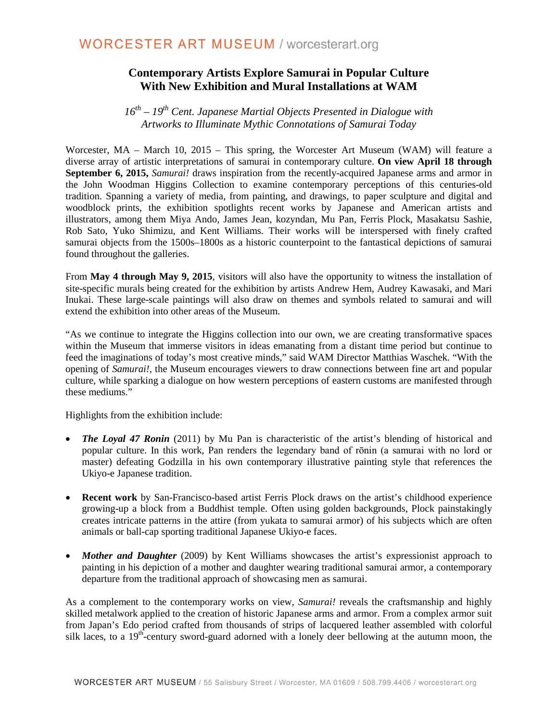## **Contemporary Artists Explore Samurai in Popular Culture With New Exhibition and Mural Installations at WAM**

*16th – 19th Cent. Japanese Martial Objects Presented in Dialogue with Artworks to Illuminate Mythic Connotations of Samurai Today* 

Worcester, MA – March 10, 2015 – This spring, the Worcester Art Museum (WAM) will feature a diverse array of artistic interpretations of samurai in contemporary culture. **On view April 18 through September 6, 2015,** *Samurai!* draws inspiration from the recently-acquired Japanese arms and armor in the John Woodman Higgins Collection to examine contemporary perceptions of this centuries-old tradition. Spanning a variety of media, from painting, and drawings, to paper sculpture and digital and woodblock prints, the exhibition spotlights recent works by Japanese and American artists and illustrators, among them Miya Ando, James Jean, kozyndan, Mu Pan, Ferris Plock, Masakatsu Sashie, Rob Sato, Yuko Shimizu, and Kent Williams. Their works will be interspersed with finely crafted samurai objects from the 1500s–1800s as a historic counterpoint to the fantastical depictions of samurai found throughout the galleries.

From **May 4 through May 9, 2015**, visitors will also have the opportunity to witness the installation of site-specific murals being created for the exhibition by artists Andrew Hem, Audrey Kawasaki, and Mari Inukai. These large-scale paintings will also draw on themes and symbols related to samurai and will extend the exhibition into other areas of the Museum.

"As we continue to integrate the Higgins collection into our own, we are creating transformative spaces within the Museum that immerse visitors in ideas emanating from a distant time period but continue to feed the imaginations of today's most creative minds," said WAM Director Matthias Waschek. "With the opening of *Samurai!*, the Museum encourages viewers to draw connections between fine art and popular culture, while sparking a dialogue on how western perceptions of eastern customs are manifested through these mediums."

Highlights from the exhibition include:

- *The Loyal 47 Ronin* (2011) by Mu Pan is characteristic of the artist's blending of historical and popular culture. In this work, Pan renders the legendary band of rōnin (a samurai with no lord or master) defeating Godzilla in his own contemporary illustrative painting style that references the Ukiyo-e Japanese tradition.
- **Recent work** by San-Francisco-based artist Ferris Plock draws on the artist's childhood experience growing-up a block from a Buddhist temple. Often using golden backgrounds, Plock painstakingly creates intricate patterns in the attire (from yukata to samurai armor) of his subjects which are often animals or ball-cap sporting traditional Japanese Ukiyo-e faces.
- *Mother and Daughter* (2009) by Kent Williams showcases the artist's expressionist approach to painting in his depiction of a mother and daughter wearing traditional samurai armor, a contemporary departure from the traditional approach of showcasing men as samurai.

As a complement to the contemporary works on view, *Samurai!* reveals the craftsmanship and highly skilled metalwork applied to the creation of historic Japanese arms and armor. From a complex armor suit from Japan's Edo period crafted from thousands of strips of lacquered leather assembled with colorful silk laces, to a  $19<sup>th</sup>$ -century sword-guard adorned with a lonely deer bellowing at the autumn moon, the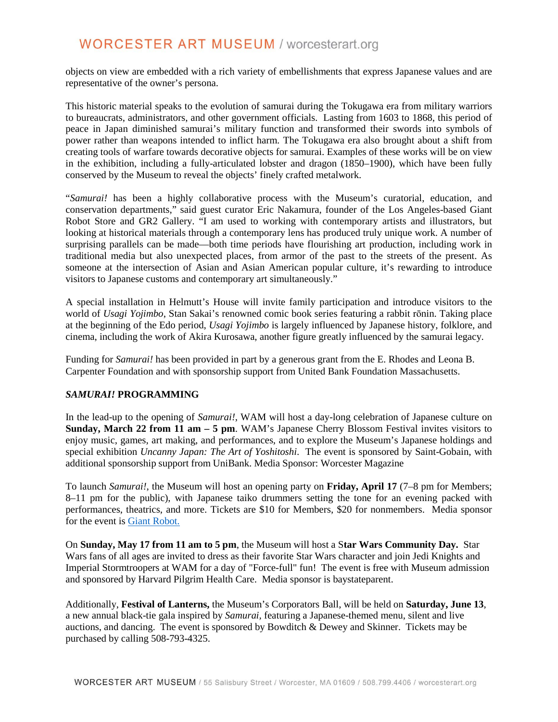objects on view are embedded with a rich variety of embellishments that express Japanese values and are representative of the owner's persona.

This historic material speaks to the evolution of samurai during the Tokugawa era from military warriors to bureaucrats, administrators, and other government officials. Lasting from 1603 to 1868, this period of peace in Japan diminished samurai's military function and transformed their swords into symbols of power rather than weapons intended to inflict harm. The Tokugawa era also brought about a shift from creating tools of warfare towards decorative objects for samurai. Examples of these works will be on view in the exhibition, including a fully-articulated lobster and dragon (1850–1900), which have been fully conserved by the Museum to reveal the objects' finely crafted metalwork.

"*Samurai!* has been a highly collaborative process with the Museum's curatorial, education, and conservation departments," said guest curator Eric Nakamura, founder of the Los Angeles-based Giant Robot Store and GR2 Gallery. "I am used to working with contemporary artists and illustrators, but looking at historical materials through a contemporary lens has produced truly unique work. A number of surprising parallels can be made—both time periods have flourishing art production, including work in traditional media but also unexpected places, from armor of the past to the streets of the present. As someone at the intersection of Asian and Asian American popular culture, it's rewarding to introduce visitors to Japanese customs and contemporary art simultaneously."

A special installation in Helmutt's House will invite family participation and introduce visitors to the world of *Usagi Yojimbo*, Stan Sakai's renowned comic book series featuring a rabbit rōnin. Taking place at the beginning of the Edo period, *Usagi Yojimbo* is largely influenced by Japanese history, folklore, and cinema, including the work of Akira Kurosawa, another figure greatly influenced by the samurai legacy.

Funding for *Samurai!* has been provided in part by a generous grant from the E. Rhodes and Leona B. Carpenter Foundation and with sponsorship support from United Bank Foundation Massachusetts.

#### *SAMURAI!* **PROGRAMMING**

In the lead-up to the opening of *Samurai!*, WAM will host a day-long celebration of Japanese culture on **Sunday, March 22 from 11 am – 5 pm**. WAM's Japanese Cherry Blossom Festival invites visitors to enjoy music, games, art making, and performances, and to explore the Museum's Japanese holdings and special exhibition *Uncanny Japan: The Art of Yoshitoshi*. The event is sponsored by Saint-Gobain, with additional sponsorship support from UniBank. Media Sponsor: Worcester Magazine

To launch *Samurai!*, the Museum will host an opening party on **Friday, April 17** (7–8 pm for Members; 8–11 pm for the public), with Japanese taiko drummers setting the tone for an evening packed with performances, theatrics, and more. Tickets are \$10 for Members, \$20 for nonmembers. Media sponsor for the event is [Giant Robot.](https://www.facebook.com/GiantRobotMagazine)

On **Sunday, May 17 from 11 am to 5 pm**, the Museum will host a S**tar Wars Community Day.** Star Wars fans of all ages are invited to dress as their favorite Star Wars character and join Jedi Knights and Imperial Stormtroopers at WAM for a day of "Force-full" fun! The event is free with Museum admission and sponsored by Harvard Pilgrim Health Care. Media sponsor is baystateparent.

Additionally, **Festival of Lanterns,** the Museum's Corporators Ball, will be held on **Saturday, June 13**, a new annual black-tie gala inspired by *Samurai,* featuring a Japanese-themed menu, silent and live auctions, and dancing. The event is sponsored by Bowditch & Dewey and Skinner. Tickets may be purchased by calling 508-793-4325.